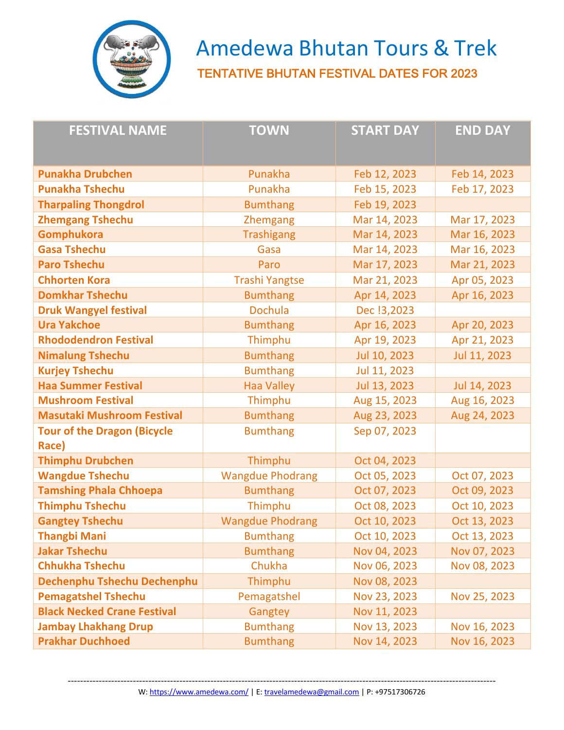

 Amedewa Bhutan Tours & Trek TENTATIVE BHUTAN FESTIVAL DATES FOR 2023

| <b>FESTIVAL NAME</b>                        | <b>TOWN</b>             | <b>START DAY</b> | <b>END DAY</b> |
|---------------------------------------------|-------------------------|------------------|----------------|
| <b>Punakha Drubchen</b>                     | Punakha                 | Feb 12, 2023     | Feb 14, 2023   |
| <b>Punakha Tshechu</b>                      | Punakha                 | Feb 15, 2023     | Feb 17, 2023   |
| <b>Tharpaling Thongdrol</b>                 | <b>Bumthang</b>         | Feb 19, 2023     |                |
| <b>Zhemgang Tshechu</b>                     | Zhemgang                | Mar 14, 2023     | Mar 17, 2023   |
| <b>Gomphukora</b>                           | <b>Trashigang</b>       | Mar 14, 2023     | Mar 16, 2023   |
| <b>Gasa Tshechu</b>                         | Gasa                    | Mar 14, 2023     | Mar 16, 2023   |
| <b>Paro Tshechu</b>                         | Paro                    | Mar 17, 2023     | Mar 21, 2023   |
| <b>Chhorten Kora</b>                        | <b>Trashi Yangtse</b>   | Mar 21, 2023     | Apr 05, 2023   |
| <b>Domkhar Tshechu</b>                      | <b>Bumthang</b>         | Apr 14, 2023     | Apr 16, 2023   |
| <b>Druk Wangyel festival</b>                | <b>Dochula</b>          | Dec !3,2023      |                |
| <b>Ura Yakchoe</b>                          | <b>Bumthang</b>         | Apr 16, 2023     | Apr 20, 2023   |
| <b>Rhododendron Festival</b>                | Thimphu                 | Apr 19, 2023     | Apr 21, 2023   |
| <b>Nimalung Tshechu</b>                     | <b>Bumthang</b>         | Jul 10, 2023     | Jul 11, 2023   |
| <b>Kurjey Tshechu</b>                       | <b>Bumthang</b>         | Jul 11, 2023     |                |
| <b>Haa Summer Festival</b>                  | <b>Haa Valley</b>       | Jul 13, 2023     | Jul 14, 2023   |
| <b>Mushroom Festival</b>                    | Thimphu                 | Aug 15, 2023     | Aug 16, 2023   |
| <b>Masutaki Mushroom Festival</b>           | <b>Bumthang</b>         | Aug 23, 2023     | Aug 24, 2023   |
| <b>Tour of the Dragon (Bicycle</b><br>Race) | <b>Bumthang</b>         | Sep 07, 2023     |                |
| <b>Thimphu Drubchen</b>                     | Thimphu                 | Oct 04, 2023     |                |
| <b>Wangdue Tshechu</b>                      | <b>Wangdue Phodrang</b> | Oct 05, 2023     | Oct 07, 2023   |
| <b>Tamshing Phala Chhoepa</b>               | <b>Bumthang</b>         | Oct 07, 2023     | Oct 09, 2023   |
| <b>Thimphu Tshechu</b>                      | Thimphu                 | Oct 08, 2023     | Oct 10, 2023   |
| <b>Gangtey Tshechu</b>                      | <b>Wangdue Phodrang</b> | Oct 10, 2023     | Oct 13, 2023   |
| Thangbi Mani                                | <b>Bumthang</b>         | Oct 10, 2023     | Oct 13, 2023   |
| <b>Jakar Tshechu</b>                        | <b>Bumthang</b>         | Nov 04, 2023     | Nov 07, 2023   |
| <b>Chhukha Tshechu</b>                      | Chukha                  | Nov 06, 2023     | Nov 08, 2023   |
| Dechenphu Tshechu Dechenphu                 | Thimphu                 | Nov 08, 2023     |                |
| <b>Pemagatshel Tshechu</b>                  | Pemagatshel             | Nov 23, 2023     | Nov 25, 2023   |
| <b>Black Necked Crane Festival</b>          | Gangtey                 | Nov 11, 2023     |                |
| <b>Jambay Lhakhang Drup</b>                 | <b>Bumthang</b>         | Nov 13, 2023     | Nov 16, 2023   |
| <b>Prakhar Duchhoed</b>                     | <b>Bumthang</b>         | Nov 14, 2023     | Nov 16, 2023   |